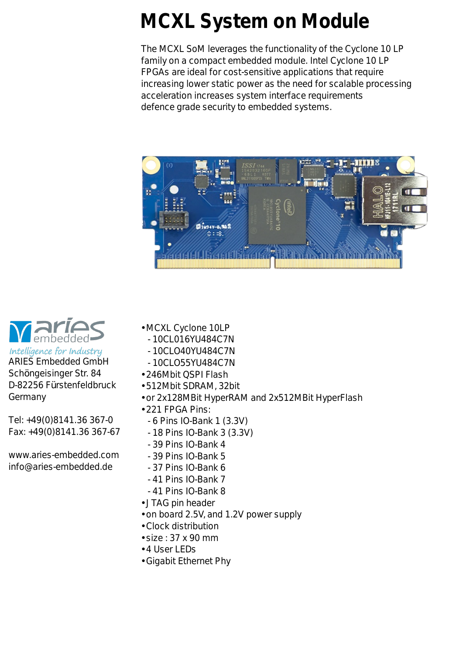## **MCXL System on Module**

The MCXL SoM leverages the functionality of the Cyclone 10 LP family on a compact embedded module. Intel Cyclone 10 LP FPGAs are ideal for cost-sensitive applications that require increasing lower static power as the need for scalable processing acceleration increases system interface requirements defence grade security to embedded systems.





Intelligence for Industry ARIES Embedded GmbH Schöngeisinger Str. 84 D-82256 Fürstenfeldbruck Germany

Tel: +49(0)8141.36 367-0 Fax: +49(0)8141.36 367-67

www.aries-embedded.com info@aries-embedded.de

- MCXL Cyclone 10LP
	- 10CL016YU484C7N
	- 10CLO40YU484C7N
	- 10CLO55YU484C7N
- 246Mbit QSPI Flash
- 512Mbit SDRAM, 32bit
- or 2x128MBit HyperRAM and 2x512MBit HyperFlash
- 221 FPGA Pins:
	- 6 Pins IO-Bank 1 (3.3V)
	- 18 Pins IO-Bank 3 (3.3V)
	- 39 Pins IO-Bank 4
	- 39 Pins IO-Bank 5
	- 37 Pins IO-Bank 6
	- 41 Pins IO-Bank 7
	- 41 Pins IO-Bank 8
- JTAG pin header
- on board 2.5V, and 1.2V power supply
- Clock distribution
- size : 37 x 90 mm
- 4 User LEDs
- Gigabit Ethernet Phy